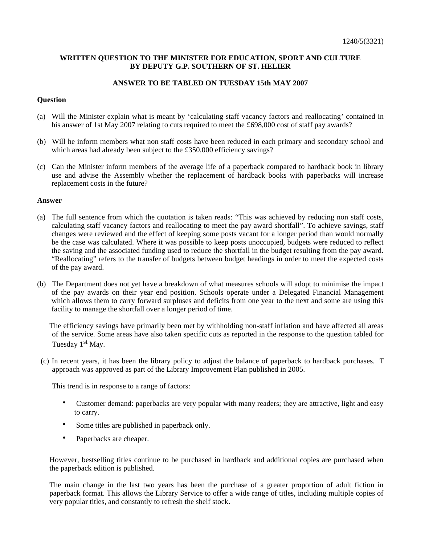# **WRITTEN QUESTION TO THE MINISTER FOR EDUCATION, SPORT AND CULTURE BY DEPUTY G.P. SOUTHERN OF ST. HELIER**

# **ANSWER TO BE TABLED ON TUESDAY 15th MAY 2007**

## **Question**

- (a) Will the Minister explain what is meant by 'calculating staff vacancy factors and reallocating' contained in his answer of 1st May 2007 relating to cuts required to meet the £698,000 cost of staff pay awards?
- (b) Will he inform members what non staff costs have been reduced in each primary and secondary school and which areas had already been subject to the £350,000 efficiency savings?
- (c) Can the Minister inform members of the average life of a paperback compared to hardback book in library use and advise the Assembly whether the replacement of hardback books with paperbacks will increase replacement costs in the future?

# **Answer**

- (a) The full sentence from which the quotation is taken reads: "This was achieved by reducing non staff costs, calculating staff vacancy factors and reallocating to meet the pay award shortfall". To achieve savings, staff changes were reviewed and the effect of keeping some posts vacant for a longer period than would normally be the case was calculated. Where it was possible to keep posts unoccupied, budgets were reduced to reflect the saving and the associated funding used to reduce the shortfall in the budget resulting from the pay award. "Reallocating" refers to the transfer of budgets between budget headings in order to meet the expected costs of the pay award.
- (b) The Department does not yet have a breakdown of what measures schools will adopt to minimise the impact of the pay awards on their year end position. Schools operate under a Delegated Financial Management which allows them to carry forward surpluses and deficits from one year to the next and some are using this facility to manage the shortfall over a longer period of time.

The efficiency savings have primarily been met by withholding non-staff inflation and have affected all areas of the service. Some areas have also taken specific cuts as reported in the response to the question tabled for Tuesday 1<sup>st</sup> May.

(c) In recent years, it has been the library policy to adjust the balance of paperback to hardback purchases. T approach was approved as part of the Library Improvement Plan published in 2005.

This trend is in response to a range of factors:

- Customer demand: paperbacks are very popular with many readers; they are attractive, light and easy to carry.
- Some titles are published in paperback only.
- Paperbacks are cheaper.

However, bestselling titles continue to be purchased in hardback and additional copies are purchased when the paperback edition is published.

The main change in the last two years has been the purchase of a greater proportion of adult fiction in paperback format. This allows the Library Service to offer a wide range of titles, including multiple copies of very popular titles, and constantly to refresh the shelf stock.